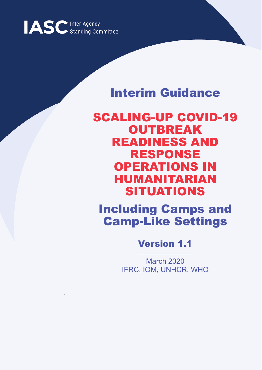

## Interim Guidance

SCALING-UP COVID-19 **OUTBREAK** READINESS AND RESPONSE OPERATIONS IN HUMANITARIAN SITUATIONS

Including Camps and Camp-Like Settings

Version 1.1

March 2020 IFRC, IOM, UNHCR, WHO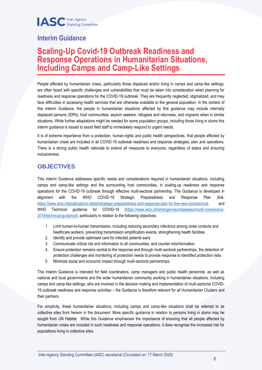### **Interim Guidance**

### **Scaling-Up Covid-19 Outbreak Readiness and Response Operations in Humanitarian Situations, Including Camps and Camp-Like Settings**

People affected by humanitarian crises, particularly those displaced and/or living in camps and camp-like settings, are often faced with specific challenges and vulnerabilities that must be taken into consideration when planning for readiness and response operations for the COVID-19 outbreak. They are frequently neglected, stigmatized, and may face difficulties in accessing health services that are otherwise available to the general population. In the context of this Interim Guidance, the people in humanitarian situations affected by this guidance may include internally displaced persons (IDPs), host communities, asylum seekers, refugees and returnees, and migrants when in similar situations. While further adaptations might be needed for some population groups, including those living in slums this interim guidance is issued to assist field staff to immediately respond to urgent needs,

It is of extreme importance from a protection, human-rights and public health perspectives, that people affected by humanitarian crises are included in all COVID-19 outbreak readiness and response strategies, plan and operations. There is a strong public health rationale to extend all measures to everyone, regardless of status and ensuring inclusiveness.

#### **OBJECTIVES**

This Interim Guidance addresses specific needs and considerations required in humanitarian situations, including camps and camp-like settings and the surrounding host communities, in scaling-up readiness and response operations for the COVID-19 outbreak through effective multi-sectoral partnership. The Guidance is developed in alignment with the WHO COVID-19 Strategic Preparedness and Response Plan (link: [https://www.who.int/publications-detail/strategic-preparedness-and-response-plan-for-the-new-coronavirus\)](https://www.who.int/publications-detail/strategic-preparedness-and-response-plan-for-the-new-coronavirus), and WHO Technical quidance for COVID-19 [\(https://www.who.int/emergencies/diseases/novel-coronavirus-](https://www.who.int/emergencies/diseases/novel-coronavirus-2019/technical-guidance)[2019/technical-guidance\)](https://www.who.int/emergencies/diseases/novel-coronavirus-2019/technical-guidance), particularly in relation to the following objectives:

- 1. Limit human-to-human transmission, including reducing secondary infections among close contacts and healthcare workers, preventing transmission amplification events, strengthening health facilities
- 2. Identify and provide optimised care for infected patients early
- 3. Communicate critical risk and information to all communities, and counter misinformation
- 4. Ensure protection remains central to the response and through multi-sectoral partnerships, the detection of protection challenges and monitoring of protection needs to provide response to identified protection risks
- 5. Minimize social and economic impact through multi-sectoral partnerships.

This Interim Guidance is intended for field coordinators, camp managers and public health personnel, as well as national and local governments and the wider humanitarian community working in humanitarian situations, including camps and camp-like settings, who are involved in the decision making and implementation of multi-sectorial COVID-19 outbreak readiness and response activities – the Guidance is therefore relevant for all Humanitarian Clusters and their partners.

For simplicity, these humanitarian situations, including camps and camp-like situations shall be referred to as collective sites from hereon in the document. More specific guidance in relation to persons living in slums may be sought from UN Habitat. While this Guidance emphasises the importance of ensuring that all people affected by humanitarian crises are included in such readiness and response operations, it does recognise the increased risk for populations living in collective sites.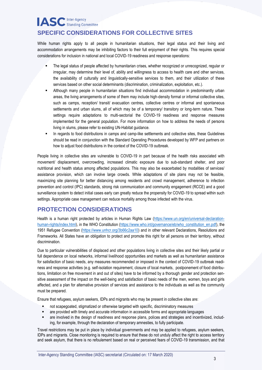### **IASC** Inter-Agency **SPECIFIC CONSIDERATIONS FOR COLLECTIVE SITES**

While human rights apply to all people in humanitarian situations, their legal status and their living and accommodation arrangements may be inhibiting factors to their full enjoyment of their rights. This requires special considerations for inclusion in national and local COVID-19 readiness and response operations:

- The legal status of people affected by humanitarian crises, whether recognized or unrecognized, regular or irregular, may determine their level of, ability and willingness to access to health care and other services, the availability of culturally and linguistically-sensitive services to them, and their utilization of these services based on other social determinants (discrimination, criminalization, exploitation, etc.).
- Although many people in humanitarian situations find individual accommodation in predominantly urban areas, the living arrangements of some of them may include high-density formal or informal collective sites, such as camps, reception/ transit/ evacuation centres, collective centres or informal and spontaneous settlements and urban slums, all of which may be of a temporary/ transitory or long-term nature. These settings require adaptations to multi-sectorial the COVID-19 readiness and response measures implemented for the general population. For more information on how to address the needs of persons living in slums, please refer to existing UN-Habitat guidance.
- In regards to food distributions in camps and camp-like settlements and collective sites, these Guidelines should be read in conjunction with the Standard Operating Procedures developed by WFP and partners on how to adjust food distributions in the context of the COVID-19 outbreak.

People living in collective sites are vulnerable to COVID-19 in part because of the health risks associated with movement/ displacement, overcrowding, increased climatic exposure due to sub-standard shelter, and poor nutritional and health status among affected populations. This may also be exacerbated by modalities of services/ assistance provision, which can involve large crowds. While adaptations of site plans may not be feasible, maximizing site planning for better distancing among residents and crowd management, adherence to infection prevention and control (IPC) standards, strong risk communication and community engagement (RCCE) and a good surveillance system to detect initial cases early can greatly reduce the propensity for COVID-19 to spread within such settings. Appropriate case management can reduce mortality among those infected with the virus.

#### **PROTECTION CONSIDERATIONS**

Health is a human right protected by articles in Human Rights Law [\(https://www.un.org/en/universal-declaration](https://www.un.org/en/universal-declaration-human-rights/index.html)[human-rights/index.html\)](https://www.un.org/en/universal-declaration-human-rights/index.html), in the WHO Constitution [\(https://www.who.int/governance/eb/who\\_constitution\\_en.pdf\)](https://www.who.int/governance/eb/who_constitution_en.pdf), the 1951 Refugee Convention [\(https://www.unhcr.org/3b66c2aa10\)](https://www.unhcr.org/3b66c2aa10) and in other relevant Declarations, Resolutions and Frameworks. All States have an obligation to protect and promote this right for all persons on their territory, without discrimination.

Due to particular vulnerabilities of displaced and other populations living in collective sites and their likely partial or full dependence on local networks, informal livelihood opportunities and markets as well as humanitarian assistance for satisfaction of basic needs, any measures recommended or imposed in the context of COVID-19 outbreak readiness and response activities (e.g. self-isolation requirement, closure of local markets, postponement of food distributions, limitation on free movement in and out of sites) have to be informed by a thorough gender and protection sensitive assessment of the impact on the well-being and satisfaction of basic needs of the men, women, boys and girls affected, and a plan for alternative provision of services and assistance to the individuals as well as the community must be prepared.

Ensure that refugees, asylum seekers, IDPs and migrants who may be present in collective sites are:

- not scapegoated, stigmatized or otherwise targeted with specific, discriminatory measures
- are provided with timely and accurate information in accessible forms and appropriate languages
- are involved in the design of readiness and response plans, polices and strategies and incentivized, including, for example, through the declaration of temporary amnesties, to fully participate.

Travel restrictions may be put in place by individual governments and may be applied to refugees, asylum seekers, IDPs and migrants. Close monitoring is required to ensure that these do not unduly affect the right to access territory and seek asylum, that there is no refoulement based on real or perceived fears of COVID-19 transmission, and that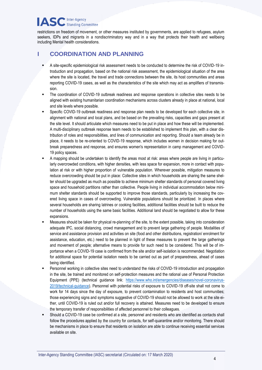#### **IASC** Inter-Agency **Standing Committee**

restrictions on freedom of movement, or other measures instituted by governments, are applied to refugees, asylum seekers, IDPs and migrants in a nondiscriminatory way and in a way that protects their health and wellbeing including Mental health considerations.

#### **I COORDINATION AND PLANNING**

- A site-specific epidemiological risk assessment needs to be conducted to determine the risk of COVID-19 introduction and propagation, based on the national risk assessment, the epidemiological situation of the area where the site is located, the travel and trade connections between the site, its host communities and areas reporting COVID-19 cases, as well as the characteristics of the site which may act as amplifiers of transmission.
- The coordination of COVID-19 outbreak readiness and response operations in collective sites needs to be aligned with existing humanitarian coordination mechanisms across clusters already in place at national, local and site levels where possible.
- Specific COVID-19 outbreak readiness and response plan needs to be developed for each collective site, in alignment with national and local plans, and be based on the prevailing risks, capacities and gaps present at the site level. It should articulate which measures need to be put in place and how these will be implemented. A multi-disciplinary outbreak response team needs to be established to implement this plan, with a clear distribution of roles and responsibilities, and lines of communication and reporting. Should a team already be in place, it needs to be re-oriented to COVID-19 response, which includes women in decision making for outbreak preparedness and response, and ensures women's representation in camp management and COVID-19 policy spaces.
- A mapping should be undertaken to identify the areas most at risk: areas where people are living in particularly overcrowded conditions, with higher densities, with less space for expansion, more in contact with population at risk or with higher proportion of vulnerable population. Wherever possible, mitigation measures to reduce overcrowding should be put in place: Collective sites in which households are sharing the same shelter should be upgraded as much as possible to achieve minimum shelter standards of personal covered living space and household partitions rather than collective. People living in individual accommodation below minimum shelter standards should be supported to improve those standards, particularly by increasing the covered living space in cases of overcrowding. Vulnerable populations should be prioritized. In places where several households are sharing latrines or cooking facilities, additional facilities should be built to reduce the number of households using the same basic facilities. Additional land should be negotiated to allow for these expansions.
- Measures should be taken for physical re-planning of the site, to the extent possible, taking into consideration adequate IPC, social distancing, crowd management and to prevent large gathering of people. Modalities of service and assistance provision and activities on site (food and other distributions, registration/ enrolment for assistance, education, etc.) need to be planned in light of these measures to prevent the large gatherings and movement of people; alternative means to provide for such need to be considered. This will be of importance when a COVID-19 case is confirmed from the site and/or self-isolation is recommended. Negotiation for additional space for potential isolation needs to be carried out as part of preparedness, ahead of cases being identified.
- Personnel working in collective sites need to understand the risks of COVID-19 introduction and propagation in the site, be trained and monitored on self-protection measures and the rational use of Personal Protection Equipment (PPE) (technical guidance link: [https://www.who.int/emergencies/diseases/novel-coronavirus-](https://www.who.int/emergencies/diseases/novel-coronavirus-2019/technical-guidance)[2019/technical-guidance\)](https://www.who.int/emergencies/diseases/novel-coronavirus-2019/technical-guidance). Personnel with potential risks of exposure to COVID-19 off-site shall not come to work for 14 days since the day of exposure, to prevent contamination to residents and host communities; those experiencing signs and symptoms suggestive of COVID-19 should not be allowed to work at the site either, until COVID-19 is ruled out and/or full recovery is attained. Measures need to be developed to ensure the temporary transfer of responsibilities of affected personnel to their colleagues.
- Should a COVID-19 case be confirmed at a site, personnel and residents who are identified as contacts shall follow the procedures applied by the country for contacts, for self-quarantine and/or monitoring. There should be mechanisms in place to ensure that residents on isolation are able to continue receiving essential services available on site.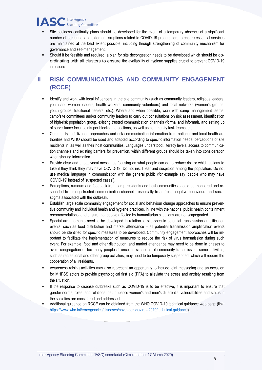# **IASC** Inter-Agency

- Site business continuity plans should be developed for the event of a temporary absence of a significant number of personnel and external disruptions related to COVID-19 propagation, to ensure essential services are maintained at the best extent possible, including through strengthening of community mechanism for governance and self-management.
- Should it be feasible and required, a plan for site decongestion needs to be developed which should be coordinating with all clusters to ensure the availability of hygiene supplies crucial to prevent COVID-19 infections

#### **II** RISK COMMUNICATIONS AND COMMUNITY ENGAGEMENT **(RCCE)**

- Identify and work with local influencers in the site community (such as community leaders, religious leaders, youth and women leaders, health workers, community volunteers) and local networks (women's groups, youth groups, traditional healers, etc.). Where and when possible, work with camp management teams, camp/site committees and/or community leaders to carry out consultations on risk assessment, identification of high-risk population group, existing trusted communication channels (formal and informal), and setting up of surveillance focal points per blocks and sections, as well as community task teams, etc.
- Community mobilization approaches and risk communication information from national and local health authorities and WHO should be used and adapted according to specific information needs, perceptions of site residents in, as well as their host communities. Languages understood, literacy levels, access to communication channels and existing barriers for prevention, within different groups should be taken into consideration when sharing information.
- Provide clear and unequivocal messages focusing on what people can do to reduce risk or which actions to take if they think they may have COVID-19. Do not instill fear and suspicion among the population. Do not use medical language in communication with the general public (for example say 'people who may have COVID-19' instead of 'suspected cases').
- Perceptions, rumours and feedback from camp residents and host communities should be monitored and responded to through trusted communication channels, especially to address negative behaviours and social stigma associated with the outbreak.
- Establish large scale community engagement for social and behaviour change approaches to ensure preventive community and individual health and hygiene practices, in line with the national public health containment recommendations, and ensure that people affected by humanitarian situations are not scapegoated.
- Special arrangements need to be developed in relation to site-specific potential transmission amplification events, such as food distribution and market attendance – all potential transmission amplification events should be identified for specific measures to be developed. Community engagement approaches will be important to facilitate the implementation of measures to reduce the risk of virus transmission during such event. For example, food and other distribution, and market attendance may need to be done in phases to avoid congregation of too many people at once. In situations of community transmission, some activities, such as recreational and other group activities, may need to be temporarily suspended, which will require the cooperation of all residents.
- Awareness raising activities may also represent an opportunity to include joint messaging and an occasion for MHPSS actors to provide psychological first aid (PFA) to alleviate the stress and anxiety resulting from the situation.
- If the response to disease outbreaks such as COVID-19 is to be effective, it is important to ensure that gender norms, roles, and relations that influence women's and men's differential vulnerabilities and status in the societies are considered and addressed
- Additional guidance on RCCE can be obtained from the WHO COVID-19 technical guidance web page (link: [https://www.who.int/emergencies/diseases/novel-coronavirus-2019/technical-guidance\)](https://www.who.int/emergencies/diseases/novel-coronavirus-2019/technical-guidance).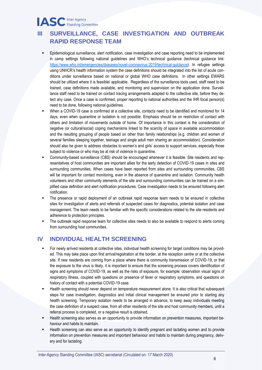## **IASC** Inter-Agency

#### **III SURVEILLANCE, CASE INVESTIGATION AND OUTBREAK RAPID RESPONSE TEAM**

- Epidemiological surveillance, alert notification, case investigation and case reporting need to be implemented in camp settings following national guidelines and WHO's technical guidance (technical guidance link: [https://www.who.int/emergencies/diseases/novel-coronavirus-2019/technical-guidance\)](https://www.who.int/emergencies/diseases/novel-coronavirus-2019/technical-guidance). In refugee settings using UNHCR's health information system the case definitions should be integrated into the list of acute conditions under surveillance based on national or global WHO case definitions. In other settings EWARS should be utilized where it is feasible/ applicable. Regardless of the surveillance tools used, staff need to be trained, case definitions made available, and monitoring and supervision on the application done. Surveillance staff need to be trained on contact tracing arrangements adapted to the collective site, before they detect any case. Once a case is confirmed, proper reporting to national authorities and the IHR focal person(s) need to be done, following national guidelines.
- When a COVID-19 case is confirmed at a collective site, contacts need to be identified and monitored for 14 days, even when quarantine or isolation is not possible. Emphasis should be on restriction of contact with others and limitation of movements outside of home. Of importance in this context is the consideration of negative (or cultural/social) coping mechanisms linked to the scarcity of space in available accommodation and the resulting grouping of people based on other than family relationships (e.g. children and women of several families sleeping together, teenage and single adult men sharing an accommodation). Consideration should also be given to address obstacles to women's and girls' access to support services, especially those subject to violence or who may be at risk of violence in quarantine.
- Community-based surveillance (CBS) should be encouraged whenever it is feasible. Site residents and representatives of host communities are important allies for the early detection of COVID-19 cases in sites and surrounding communities. When cases have been reported from sites and surrounding communities, CBS will be important for contact monitoring, even in the absence of quarantine and isolation. Community health volunteers and other community elements of the site and surrounding communities can be trained on a simplified case definition and alert notification procedures. Case investigation needs to be ensured following alert notification.
- The presence or rapid deployment of an outbreak rapid response team needs to be ensured in collective sites for investigation of alerts and referrals of suspected cases for diagnostics, potential isolation and case management. The team needs to be familiar with the specific considerations related to the site residents and adherence to protection principles.
- The outbreak rapid response team for collective sites needs to also be available to respond to alerts coming from surrounding host communities.

#### **IV INDIVIDUAL HEALTH SCREENING**

- For newly arrived residents at collective sites, individual health screening for target conditions may be provided. This may take place upon first arrival/registration at the border, at the reception centre or at the collective site. If new residents are coming from a place where there is community transmission of COVID-19, or that the exposure to the virus is likely, it is important to ensure that the screening process covers identification of signs and symptoms of COVID-19, as well as the risks of exposure, for example: observation visual signs of respiratory illness, coupled with questions on presence of fever or respiratory symptoms, and questions on history of contact with a potential COVID-19 case.
- Health screening should never depend on temperature measurement alone. It is also critical that subsequent steps for case investigation, diagnostics and initial clinical management be ensured prior to starting any health screening. Temporary isolation needs to be arranged in advance, to keep away individuals meeting the case definition of a suspect case, from all other residents of the site and host community members, until a referral process is completed, or a negative result is obtained.
- Health screening also serves as an opportunity to provide information on prevention measures, important behaviour and habits to maintain.
- Health screening can also serve as an opportunity to identify pregnant and lactating women and to provide information on prevention measures and important behaviour and habits to maintain during pregnancy, delivery and for lactating.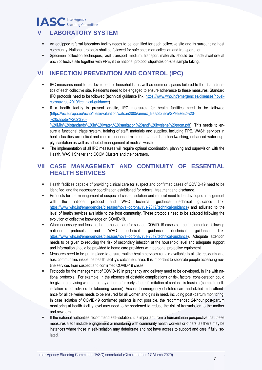### **IASC** Inter-Agency **V LABORATORY SYSTEM**

- An equipped referral laboratory facility needs to be identified for each collective site and its surrounding host community. National protocols shall be followed for safe specimen collection and transportation.
- Specimen collection techniques, viral transport medium, transport materials should be made available at each collective site together with PPE, if the national protocol stipulates on-site sample taking.

#### **VI INFECTION PREVENTION AND CONTROL (IPC)**

- IPC measures need to be developed for households, as well as common spaces tailored to the characteristics of each collective site. Residents need to be engaged to ensure adherence to these measures. Standard IPC protocols need to be followed (technical guidance link: [https://www.who.int/emergencies/diseases/novel](https://www.who.int/emergencies/diseases/novel-coronavirus-2019/technical-guidance)[coronavirus-2019/technical-guidance\)](https://www.who.int/emergencies/diseases/novel-coronavirus-2019/technical-guidance).
- If a health facility is present on-site, IPC measures for health facilities need to be followed [\(https://ec.europa.eu/echo/files/evaluation/watsan2005/annex\\_files/Sphere/SPHERE2%20-](https://ec.europa.eu/echo/files/evaluation/watsan2005/annex_files/Sphere/SPHERE2%20-%20chapter%202%20-%20Min%20standards%20in%20water,%20sanitation%20and%20hygiene%20prom.pdf) [%20chapter%202%20-](https://ec.europa.eu/echo/files/evaluation/watsan2005/annex_files/Sphere/SPHERE2%20-%20chapter%202%20-%20Min%20standards%20in%20water,%20sanitation%20and%20hygiene%20prom.pdf)

[%20Min%20standards%20in%20water,%20sanitation%20and%20hygiene%20prom.pdf\)](https://ec.europa.eu/echo/files/evaluation/watsan2005/annex_files/Sphere/SPHERE2%20-%20chapter%202%20-%20Min%20standards%20in%20water,%20sanitation%20and%20hygiene%20prom.pdf). This needs to ensure a functional triage system, training of staff, materials and supplies, including PPE. WASH services in health facilities are critical and require enhanced minimum standards in handwashing, enhanced water supply, sanitation as well as adapted management of medical waste.

The implementation of all IPC measures will require optimal coordination, planning and supervision with the Health, WASH Shelter and CCCM Clusters and their partners.

#### **VII CASE MANAGEMENT AND CONTINUITY OF ESSENTIAL HEALTH SERVICES**

- Health facilities capable of providing clinical care for suspect and confirmed cases of COVID-19 need to be identified, and the necessary coordination established for referral, treatment and discharge.
- Protocols for the management of suspected cases, isolation and referral need to be developed in alignment with the national protocol and WHO technical guidance (technical guidance link: [https://www.who.int/emergencies/diseases/novel-coronavirus-2019/technical-guidance\)](https://www.who.int/emergencies/diseases/novel-coronavirus-2019/technical-guidance) and adjusted to the level of health services available to the host community. These protocols need to be adapted following the evolution of collective knowledge on COVID-19.
- When necessary and feasible, home-based care for suspect COVID-19 cases can be implemented, following national protocols and WHO technical guidance (technical guidance link: [https://www.who.int/emergencies/diseases/novel-coronavirus-2019/technical-guidance\)](https://www.who.int/emergencies/diseases/novel-coronavirus-2019/technical-guidance). Adequate attention needs to be given to reducing the risk of secondary infection at the household level and adequate support and information should be provided to home care providers with personal protective equipment.
- Measures need to be put in place to ensure routine health services remain available to all site residents and host communities inside the health facility's catchment area. It is important to separate people accessing routine services from suspect and confirmed COVID-19 cases.
- Protocols for the management of COVID-19 in pregnancy and delivery need to be developed, in line with national protocols. For example, in the absence of obstetric complications or risk factors, consideration could be given to advising women to stay at home for early labour if limitation of contacts is feasible (complete selfisolation is not advised for labouring women). Access to emergency obstetric care and skilled birth attendance for all deliveries needs to be ensured for all women and girls in need, including post -partum monitoring. In case isolation of COVID-19 confirmed patients is not possible, the recommended 24-hour post-partum monitoring at health facility level may need to be shortened to reduce the risk of transmission to the mother and newborn.
- If the national authorities recommend self-isolation, it is important from a humanitarian perspective that these measures also t include engagement or monitoring with community health workers or others; as there may be instances where those in self-isolation may deteriorate and not have access to support and care if fully isolated.